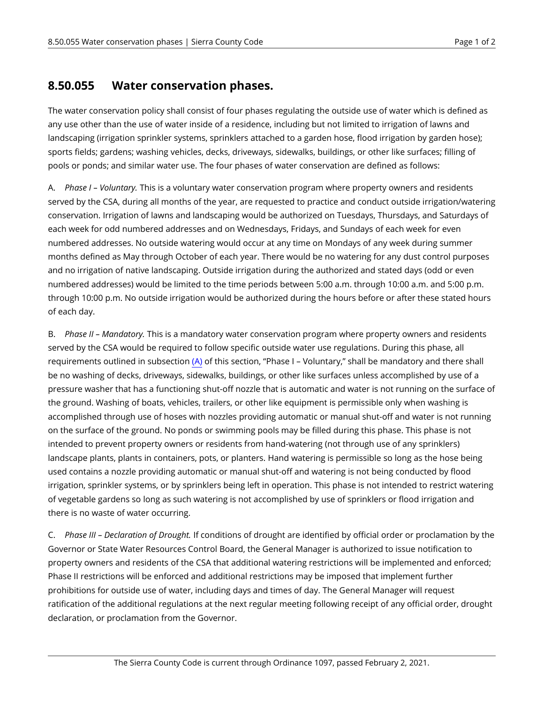## **8.50.055 Water conservation phases.**

The water conservation policy shall consist of four phases regulating the outside use of water which is defined as any use other than the use of water inside of a residence, including but not limited to irrigation of lawns and landscaping (irrigation sprinkler systems, sprinklers attached to a garden hose, flood irrigation by garden hose); sports fields; gardens; washing vehicles, decks, driveways, sidewalks, buildings, or other like surfaces; filling of pools or ponds; and similar water use. The four phases of water conservation are defined as follows:

<span id="page-0-0"></span>A. *Phase I – Voluntary.* This is a voluntary water conservation program where property owners and residents served by the CSA, during all months of the year, are requested to practice and conduct outside irrigation/watering conservation. Irrigation of lawns and landscaping would be authorized on Tuesdays, Thursdays, and Saturdays of each week for odd numbered addresses and on Wednesdays, Fridays, and Sundays of each week for even numbered addresses. No outside watering would occur at any time on Mondays of any week during summer months defined as May through October of each year. There would be no watering for any dust control purposes and no irrigation of native landscaping. Outside irrigation during the authorized and stated days (odd or even numbered addresses) would be limited to the time periods between 5:00 a.m. through 10:00 a.m. and 5:00 p.m. through 10:00 p.m. No outside irrigation would be authorized during the hours before or after these stated hours of each day.

B. *Phase II – Mandatory.* This is a mandatory water conservation program where property owners and residents served by the CSA would be required to follow specific outside water use regulations. During this phase, all requirements outlined in subsection [\(A\)](#page-0-0) of this section, "Phase I – Voluntary," shall be mandatory and there shall be no washing of decks, driveways, sidewalks, buildings, or other like surfaces unless accomplished by use of a pressure washer that has a functioning shut-off nozzle that is automatic and water is not running on the surface of the ground. Washing of boats, vehicles, trailers, or other like equipment is permissible only when washing is accomplished through use of hoses with nozzles providing automatic or manual shut-off and water is not running on the surface of the ground. No ponds or swimming pools may be filled during this phase. This phase is not intended to prevent property owners or residents from hand-watering (not through use of any sprinklers) landscape plants, plants in containers, pots, or planters. Hand watering is permissible so long as the hose being used contains a nozzle providing automatic or manual shut-off and watering is not being conducted by flood irrigation, sprinkler systems, or by sprinklers being left in operation. This phase is not intended to restrict watering of vegetable gardens so long as such watering is not accomplished by use of sprinklers or flood irrigation and there is no waste of water occurring.

C. *Phase III – Declaration of Drought.* If conditions of drought are identified by official order or proclamation by the Governor or State Water Resources Control Board, the General Manager is authorized to issue notification to property owners and residents of the CSA that additional watering restrictions will be implemented and enforced; Phase II restrictions will be enforced and additional restrictions may be imposed that implement further prohibitions for outside use of water, including days and times of day. The General Manager will request ratification of the additional regulations at the next regular meeting following receipt of any official order, drought declaration, or proclamation from the Governor.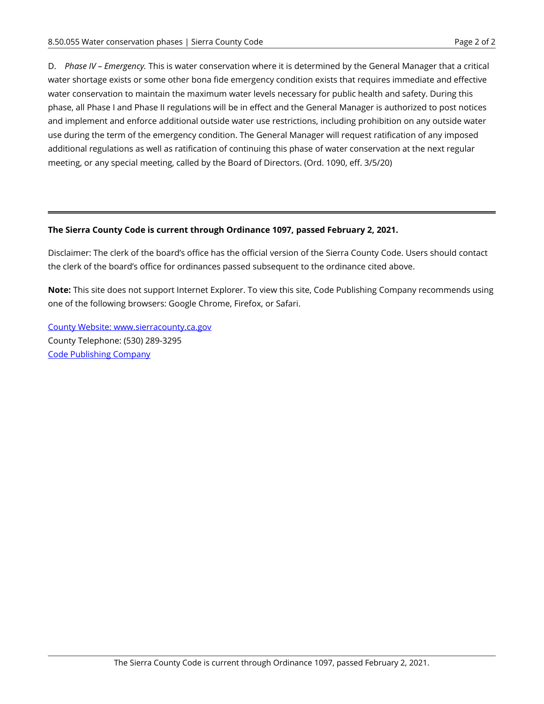D. *Phase IV – Emergency.* This is water conservation where it is determined by the General Manager that a critical water shortage exists or some other bona fide emergency condition exists that requires immediate and effective water conservation to maintain the maximum water levels necessary for public health and safety. During this phase, all Phase I and Phase II regulations will be in effect and the General Manager is authorized to post notices and implement and enforce additional outside water use restrictions, including prohibition on any outside water use during the term of the emergency condition. The General Manager will request ratification of any imposed additional regulations as well as ratification of continuing this phase of water conservation at the next regular meeting, or any special meeting, called by the Board of Directors. (Ord. 1090, eff. 3/5/20)

#### **The Sierra County Code is current through Ordinance 1097, passed February 2, 2021.**

Disclaimer: The clerk of the board's office has the official version of the Sierra County Code. Users should contact the clerk of the board's office for ordinances passed subsequent to the ordinance cited above.

**Note:** This site does not support Internet Explorer. To view this site, Code Publishing Company recommends using one of the following browsers: Google Chrome, Firefox, or Safari.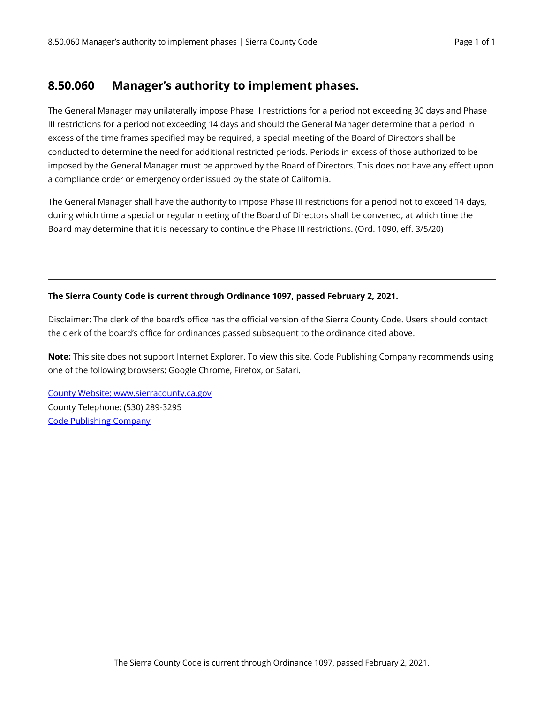## **8.50.060 Manager's authority to implement phases.**

The General Manager may unilaterally impose Phase II restrictions for a period not exceeding 30 days and Phase III restrictions for a period not exceeding 14 days and should the General Manager determine that a period in excess of the time frames specified may be required, a special meeting of the Board of Directors shall be conducted to determine the need for additional restricted periods. Periods in excess of those authorized to be imposed by the General Manager must be approved by the Board of Directors. This does not have any effect upon a compliance order or emergency order issued by the state of California.

The General Manager shall have the authority to impose Phase III restrictions for a period not to exceed 14 days, during which time a special or regular meeting of the Board of Directors shall be convened, at which time the Board may determine that it is necessary to continue the Phase III restrictions. (Ord. 1090, eff. 3/5/20)

#### **The Sierra County Code is current through Ordinance 1097, passed February 2, 2021.**

Disclaimer: The clerk of the board's office has the official version of the Sierra County Code. Users should contact the clerk of the board's office for ordinances passed subsequent to the ordinance cited above.

**Note:** This site does not support Internet Explorer. To view this site, Code Publishing Company recommends using one of the following browsers: Google Chrome, Firefox, or Safari.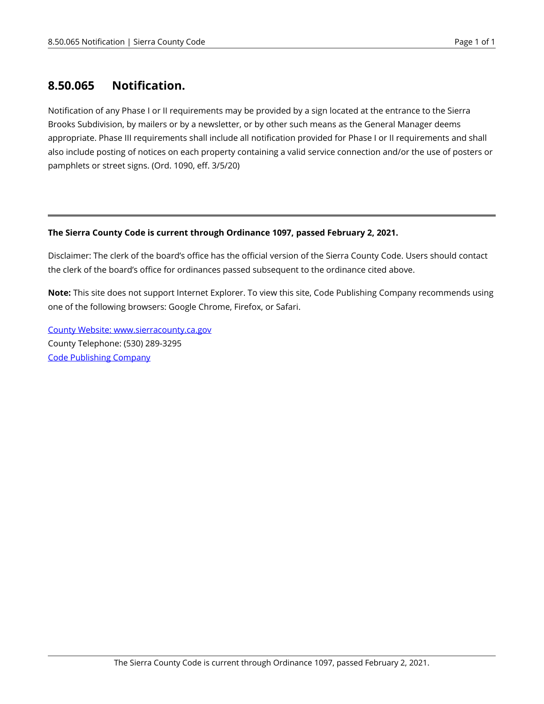### **8.50.065 Notification.**

Notification of any Phase I or II requirements may be provided by a sign located at the entrance to the Sierra Brooks Subdivision, by mailers or by a newsletter, or by other such means as the General Manager deems appropriate. Phase III requirements shall include all notification provided for Phase I or II requirements and shall also include posting of notices on each property containing a valid service connection and/or the use of posters or pamphlets or street signs. (Ord. 1090, eff. 3/5/20)

#### **The Sierra County Code is current through Ordinance 1097, passed February 2, 2021.**

Disclaimer: The clerk of the board's office has the official version of the Sierra County Code. Users should contact the clerk of the board's office for ordinances passed subsequent to the ordinance cited above.

**Note:** This site does not support Internet Explorer. To view this site, Code Publishing Company recommends using one of the following browsers: Google Chrome, Firefox, or Safari.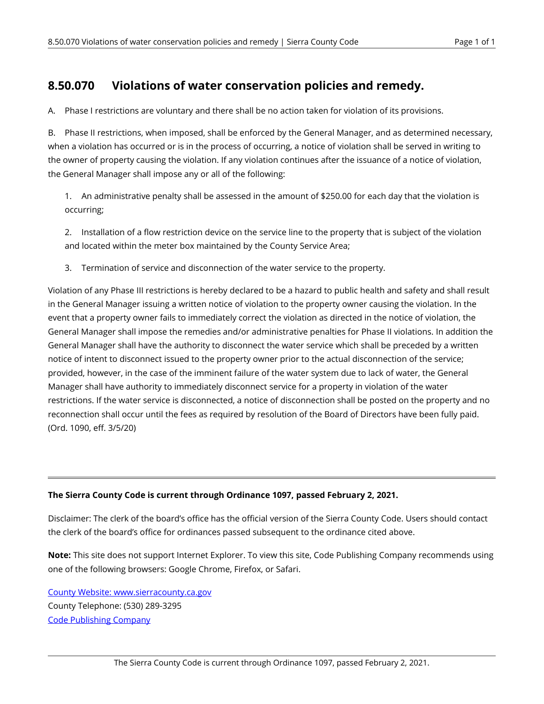## **8.50.070 Violations of water conservation policies and remedy.**

A. Phase I restrictions are voluntary and there shall be no action taken for violation of its provisions.

B. Phase II restrictions, when imposed, shall be enforced by the General Manager, and as determined necessary, when a violation has occurred or is in the process of occurring, a notice of violation shall be served in writing to the owner of property causing the violation. If any violation continues after the issuance of a notice of violation, the General Manager shall impose any or all of the following:

1. An administrative penalty shall be assessed in the amount of \$250.00 for each day that the violation is occurring;

2. Installation of a flow restriction device on the service line to the property that is subject of the violation and located within the meter box maintained by the County Service Area;

3. Termination of service and disconnection of the water service to the property.

Violation of any Phase III restrictions is hereby declared to be a hazard to public health and safety and shall result in the General Manager issuing a written notice of violation to the property owner causing the violation. In the event that a property owner fails to immediately correct the violation as directed in the notice of violation, the General Manager shall impose the remedies and/or administrative penalties for Phase II violations. In addition the General Manager shall have the authority to disconnect the water service which shall be preceded by a written notice of intent to disconnect issued to the property owner prior to the actual disconnection of the service; provided, however, in the case of the imminent failure of the water system due to lack of water, the General Manager shall have authority to immediately disconnect service for a property in violation of the water restrictions. If the water service is disconnected, a notice of disconnection shall be posted on the property and no reconnection shall occur until the fees as required by resolution of the Board of Directors have been fully paid. (Ord. 1090, eff. 3/5/20)

#### **The Sierra County Code is current through Ordinance 1097, passed February 2, 2021.**

Disclaimer: The clerk of the board's office has the official version of the Sierra County Code. Users should contact the clerk of the board's office for ordinances passed subsequent to the ordinance cited above.

**Note:** This site does not support Internet Explorer. To view this site, Code Publishing Company recommends using one of the following browsers: Google Chrome, Firefox, or Safari.